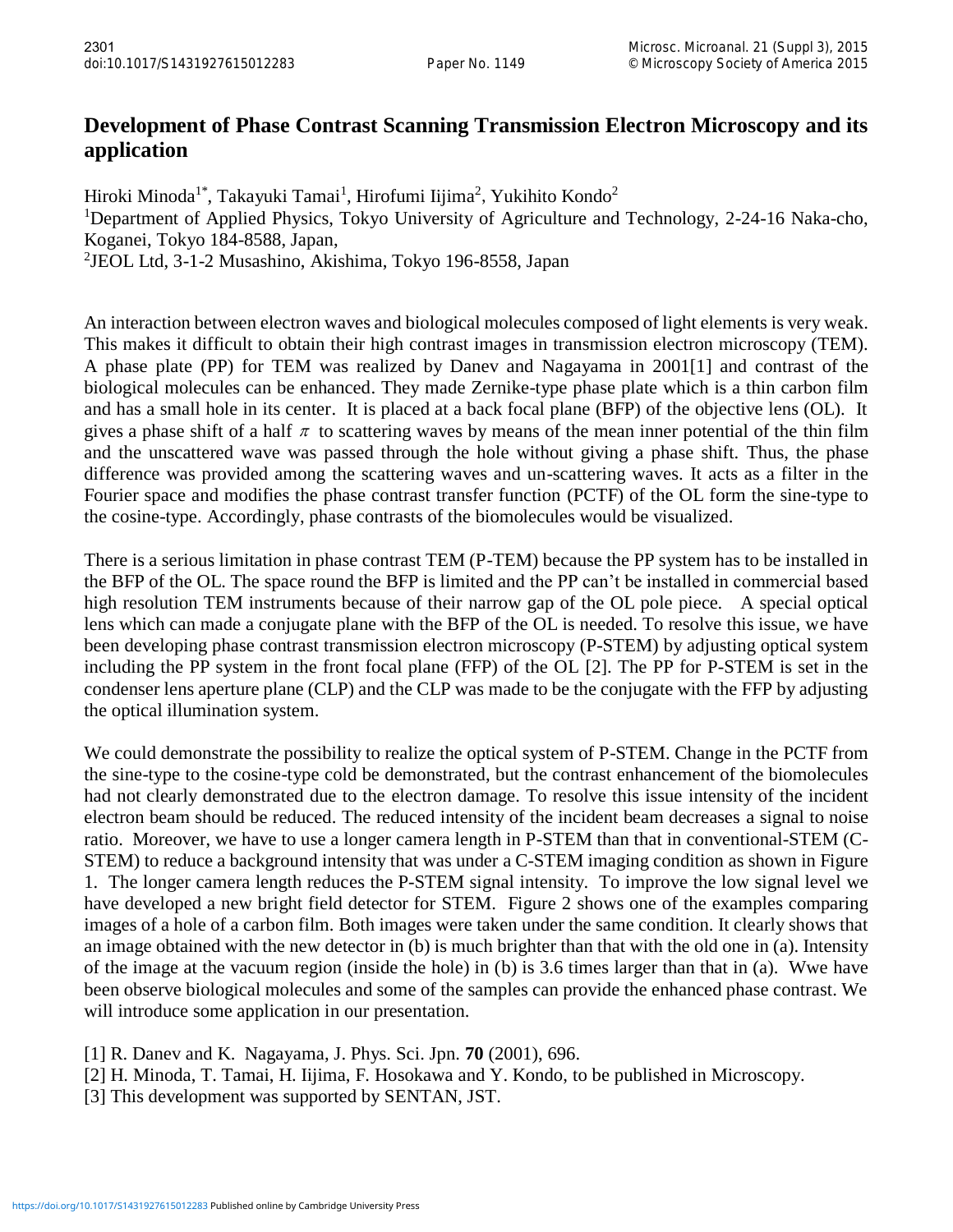## **Development of Phase Contrast Scanning Transmission Electron Microscopy and its application**

Hiroki Minoda<sup>1\*</sup>, Takayuki Tamai<sup>1</sup>, Hirofumi Iijima<sup>2</sup>, Yukihito Kondo<sup>2</sup> <sup>1</sup>Department of Applied Physics, Tokyo University of Agriculture and Technology, 2-24-16 Naka-cho, Koganei, Tokyo 184-8588, Japan, 2 JEOL Ltd, 3-1-2 Musashino, Akishima, Tokyo 196-8558, Japan

An interaction between electron waves and biological molecules composed of light elements is very weak. This makes it difficult to obtain their high contrast images in transmission electron microscopy (TEM). A phase plate (PP) for TEM was realized by Danev and Nagayama in 2001[1] and contrast of the biological molecules can be enhanced. They made Zernike-type phase plate which is a thin carbon film and has a small hole in its center. It is placed at a back focal plane (BFP) of the objective lens (OL). It gives a phase shift of a half  $\pi$  to scattering waves by means of the mean inner potential of the thin film and the unscattered wave was passed through the hole without giving a phase shift. Thus, the phase difference was provided among the scattering waves and un-scattering waves. It acts as a filter in the Fourier space and modifies the phase contrast transfer function (PCTF) of the OL form the sine-type to the cosine-type. Accordingly, phase contrasts of the biomolecules would be visualized.

There is a serious limitation in phase contrast TEM (P-TEM) because the PP system has to be installed in the BFP of the OL. The space round the BFP is limited and the PP can't be installed in commercial based high resolution TEM instruments because of their narrow gap of the OL pole piece. A special optical lens which can made a conjugate plane with the BFP of the OL is needed. To resolve this issue, we have been developing phase contrast transmission electron microscopy (P-STEM) by adjusting optical system including the PP system in the front focal plane (FFP) of the OL [2]. The PP for P-STEM is set in the condenser lens aperture plane (CLP) and the CLP was made to be the conjugate with the FFP by adjusting the optical illumination system.

We could demonstrate the possibility to realize the optical system of P-STEM. Change in the PCTF from the sine-type to the cosine-type cold be demonstrated, but the contrast enhancement of the biomolecules had not clearly demonstrated due to the electron damage. To resolve this issue intensity of the incident electron beam should be reduced. The reduced intensity of the incident beam decreases a signal to noise ratio. Moreover, we have to use a longer camera length in P-STEM than that in conventional-STEM (C-STEM) to reduce a background intensity that was under a C-STEM imaging condition as shown in Figure 1. The longer camera length reduces the P-STEM signal intensity. To improve the low signal level we have developed a new bright field detector for STEM. Figure 2 shows one of the examples comparing images of a hole of a carbon film. Both images were taken under the same condition. It clearly shows that an image obtained with the new detector in (b) is much brighter than that with the old one in (a). Intensity of the image at the vacuum region (inside the hole) in (b) is 3.6 times larger than that in (a). Wwe have been observe biological molecules and some of the samples can provide the enhanced phase contrast. We will introduce some application in our presentation.

- [1] R. Danev and K. Nagayama, J. Phys. Sci. Jpn. **70** (2001), 696.
- [2] H. Minoda, T. Tamai, H. Iijima, F. Hosokawa and Y. Kondo, to be published in Microscopy.
- [3] This development was supported by SENTAN, JST.